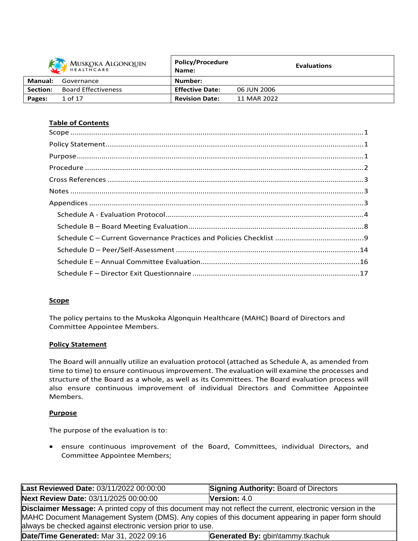| MUSKOKA ALGONQUIN<br>$\sum$ |                            | <b>Policy/Procedure</b><br>Name: |             | <b>Evaluations</b> |
|-----------------------------|----------------------------|----------------------------------|-------------|--------------------|
| <b>Manual:</b>              | Governance                 | Number:                          |             |                    |
| <b>Section:</b>             | <b>Board Effectiveness</b> | <b>Effective Date:</b>           | 06 JUN 2006 |                    |
| Pages:                      | 1 of 17                    | <b>Revision Date:</b>            | 11 MAR 2022 |                    |
|                             |                            |                                  |             |                    |

# **Table of Contents**

## **Scope**

The policy pertains to the Muskoka Algonquin Healthcare (MAHC) Board of Directors and Committee Appointee Members.

## **Policy Statement**

The Board will annually utilize an evaluation protocol (attached as Schedule A, as amended from time to time) to ensure continuous improvement. The evaluation will examine the processes and structure of the Board as a whole, as well as its Committees. The Board evaluation process will also ensure continuous improvement of individual Directors and Committee Appointee Members.

## **Purpose**

The purpose of the evaluation is to:

 ensure continuous improvement of the Board, Committees, individual Directors, and Committee Appointee Members;

| Last Reviewed Date: 03/11/2022 00:00:00                                                                                                                                                                                                                                              | <b>Signing Authority: Board of Directors</b> |  |
|--------------------------------------------------------------------------------------------------------------------------------------------------------------------------------------------------------------------------------------------------------------------------------------|----------------------------------------------|--|
| Next Review Date: 03/11/2025 00:00:00                                                                                                                                                                                                                                                | <b>Version:</b> $4.0$                        |  |
| <b>Disclaimer Message:</b> A printed copy of this document may not reflect the current, electronic version in the<br>MAHC Document Management System (DMS). Any copies of this document appearing in paper form should<br>always be checked against electronic version prior to use. |                                              |  |
| <b>Date/Time Generated: Mar 31, 2022 09:16</b>                                                                                                                                                                                                                                       | Generated By: gbin\tammy.tkachuk             |  |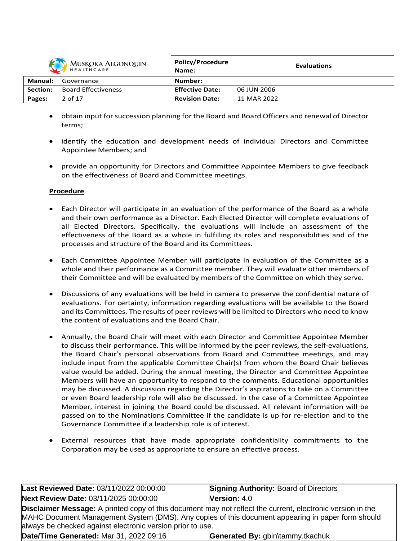

| MUSKOKA ALGONQUIN<br>HEALTHCARE |                            | POIICY/Procedure<br>Name: |             | <b>Evaluations</b> |
|---------------------------------|----------------------------|---------------------------|-------------|--------------------|
| Manual:                         | Governance                 | Number:                   |             |                    |
| Section:                        | <b>Board Effectiveness</b> | <b>Effective Date:</b>    | 06 JUN 2006 |                    |
| Pages:                          | 2 of 17                    | <b>Revision Date:</b>     | 11 MAR 2022 |                    |

**Policy/Procedure**

- obtain input forsuccession planning for the Board and Board Officers and renewal of Director terms;
- identify the education and development needs of individual Directors and Committee Appointee Members; and
- provide an opportunity for Directors and Committee Appointee Members to give feedback on the effectiveness of Board and Committee meetings.

## **Procedure**

- Each Director will participate in an evaluation of the performance of the Board as a whole and their own performance as a Director. Each Elected Director will complete evaluations of all Elected Directors. Specifically, the evaluations will include an assessment of the effectiveness of the Board as a whole in fulfilling its roles and responsibilities and of the processes and structure of the Board and its Committees.
- Each Committee Appointee Member will participate in evaluation of the Committee as a whole and their performance as a Committee member. They will evaluate other members of their Committee and will be evaluated by members of the Committee on which they serve.
- Discussions of any evaluations will be held in camera to preserve the confidential nature of evaluations. For certainty, information regarding evaluations will be available to the Board and its Committees. The results of peer reviews will be limited to Directors who need to know the content of evaluations and the Board Chair.
- Annually, the Board Chair will meet with each Director and Committee Appointee Member to discuss their performance. This will be informed by the peer reviews, the self-evaluations, the Board Chair's personal observations from Board and Committee meetings, and may include input from the applicable Committee Chair(s) from whom the Board Chair believes value would be added. During the annual meeting, the Director and Committee Appointee Members will have an opportunity to respond to the comments. Educational opportunities may be discussed. A discussion regarding the Director's aspirations to take on a Committee or even Board leadership role will also be discussed. In the case of a Committee Appointee Member, interest in joining the Board could be discussed. All relevant information will be passed on to the Nominations Committee if the candidate is up for re-election and to the Governance Committee if a leadership role is of interest.
- External resources that have made appropriate confidentiality commitments to the Corporation may be used as appropriate to ensure an effective process.

| Last Reviewed Date: 03/11/2022 00:00:00                                                                                                                                                                                                                                              | <b>Signing Authority: Board of Directors</b> |  |  |
|--------------------------------------------------------------------------------------------------------------------------------------------------------------------------------------------------------------------------------------------------------------------------------------|----------------------------------------------|--|--|
| Next Review Date: 03/11/2025 00:00:00                                                                                                                                                                                                                                                | Version: 4.0                                 |  |  |
| <b>Disclaimer Message:</b> A printed copy of this document may not reflect the current, electronic version in the<br>MAHC Document Management System (DMS). Any copies of this document appearing in paper form should<br>always be checked against electronic version prior to use. |                                              |  |  |
| Date/Time Generated: Mar 31, 2022 09:16                                                                                                                                                                                                                                              | Generated By: gbin\tammy.tkachuk             |  |  |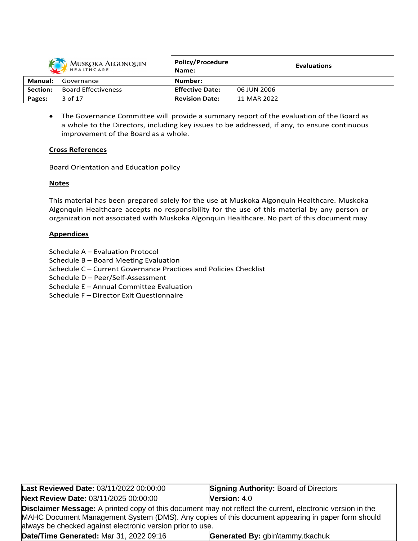

| MUSKOKA ALGONQUIN<br>HEALTHCARE |                            | POIICY/Procedure<br>Name: | <b>Evaluations</b> |
|---------------------------------|----------------------------|---------------------------|--------------------|
| Manual:                         | Governance                 | Number:                   |                    |
| <b>Section:</b>                 | <b>Board Effectiveness</b> | <b>Effective Date:</b>    | 06 JUN 2006        |
| Pages:                          | 3 of 17                    | <b>Revision Date:</b>     | 11 MAR 2022        |

**Policy/Procedure**

 The Governance Committee will provide a summary report of the evaluation of the Board as a whole to the Directors, including key issues to be addressed, if any, to ensure continuous improvement of the Board as a whole.

#### **Cross References**

Board Orientation and Education policy

#### **Notes**

This material has been prepared solely for the use at Muskoka Algonquin Healthcare. Muskoka Algonquin Healthcare accepts no responsibility for the use of this material by any person or organization not associated with Muskoka Algonquin Healthcare. No part of this document may

#### **Appendices**

- Schedule A Evaluation Protocol
- Schedule B Board Meeting Evaluation
- Schedule C Current Governance Practices and Policies Checklist
- Schedule D Peer/Self-Assessment
- Schedule E Annual Committee Evaluation
- Schedule F Director Exit Questionnaire

| Last Reviewed Date: 03/11/2022 00:00:00                                                                                                                                                                                                                                              | <b>Signing Authority: Board of Directors</b> |  |  |
|--------------------------------------------------------------------------------------------------------------------------------------------------------------------------------------------------------------------------------------------------------------------------------------|----------------------------------------------|--|--|
| Next Review Date: 03/11/2025 00:00:00                                                                                                                                                                                                                                                | <b>Version: <math>4.0</math></b>             |  |  |
| <b>Disclaimer Message:</b> A printed copy of this document may not reflect the current, electronic version in the<br>MAHC Document Management System (DMS). Any copies of this document appearing in paper form should<br>always be checked against electronic version prior to use. |                                              |  |  |
| Date/Time Generated: Mar 31, 2022 09:16<br>Generated By: gbin\tammy.tkachuk                                                                                                                                                                                                          |                                              |  |  |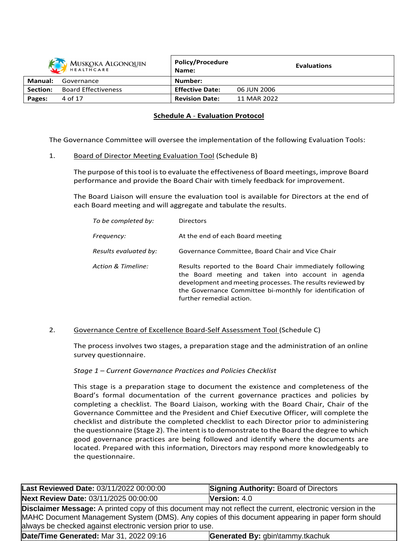| <b>MUSKOKA ALGONQUIN</b><br>HEALTHCARE |                            | <b>Policy/Procedure</b><br>Name: |             | <b>Evaluations</b> |
|----------------------------------------|----------------------------|----------------------------------|-------------|--------------------|
| Manual:                                | Governance                 | Number:                          |             |                    |
| Section:                               | <b>Board Effectiveness</b> | <b>Effective Date:</b>           | 06 JUN 2006 |                    |
| Pages:                                 | 4 of 17                    | <b>Revision Date:</b>            | 11 MAR 2022 |                    |

# **Schedule A** - **Evaluation Protocol**

The Governance Committee will oversee the implementation of the following Evaluation Tools:

1. Board of Director Meeting Evaluation Tool (Schedule B)

The purpose of thistool isto evaluate the effectiveness of Board meetings, improve Board performance and provide the Board Chair with timely feedback for improvement.

The Board Liaison will ensure the evaluation tool is available for Directors at the end of each Board meeting and will aggregate and tabulate the results.

| To be completed by:   | <b>Directors</b>                                                                                                                                                                                                                                                       |
|-----------------------|------------------------------------------------------------------------------------------------------------------------------------------------------------------------------------------------------------------------------------------------------------------------|
| Frequency:            | At the end of each Board meeting                                                                                                                                                                                                                                       |
| Results evaluated by: | Governance Committee, Board Chair and Vice Chair                                                                                                                                                                                                                       |
| Action & Timeline:    | Results reported to the Board Chair immediately following<br>the Board meeting and taken into account in agenda<br>development and meeting processes. The results reviewed by<br>the Governance Committee bi-monthly for identification of<br>further remedial action. |

## 2. Governance Centre of Excellence Board-Self Assessment Tool (Schedule C)

The process involves two stages, a preparation stage and the administration of an online survey questionnaire.

## *Stage 1 – Current Governance Practices and Policies Checklist*

This stage is a preparation stage to document the existence and completeness of the Board's formal documentation of the current governance practices and policies by completing a checklist. The Board Liaison, working with the Board Chair, Chair of the Governance Committee and the President and Chief Executive Officer, will complete the checklist and distribute the completed checklist to each Director prior to administering the questionnaire (Stage 2). The intent isto demonstrate to the Board the degree to which good governance practices are being followed and identify where the documents are located. Prepared with this information, Directors may respond more knowledgeably to the questionnaire.

| Last Reviewed Date: 03/11/2022 00:00:00                                                                                                                                                                                                                                              | <b>Signing Authority: Board of Directors</b> |  |
|--------------------------------------------------------------------------------------------------------------------------------------------------------------------------------------------------------------------------------------------------------------------------------------|----------------------------------------------|--|
| Next Review Date: 03/11/2025 00:00:00                                                                                                                                                                                                                                                | Version: 4.0                                 |  |
| <b>Disclaimer Message:</b> A printed copy of this document may not reflect the current, electronic version in the<br>MAHC Document Management System (DMS). Any copies of this document appearing in paper form should<br>always be checked against electronic version prior to use. |                                              |  |
| <b>Date/Time Generated: Mar 31, 2022 09:16</b>                                                                                                                                                                                                                                       | Generated By: gbin\tammy.tkachuk             |  |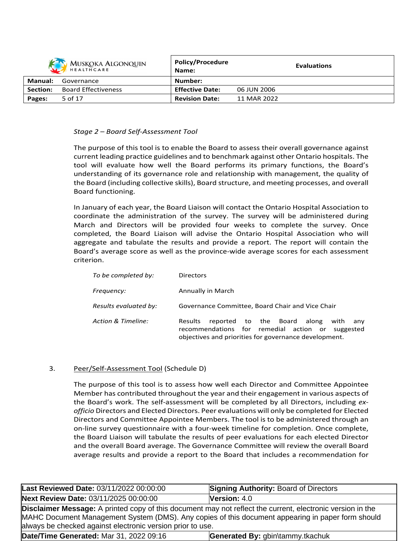|                | MUSKOKA ALGONQUIN          | <b>Policy/Procedure</b><br>Name: |             | <b>Evaluations</b> |
|----------------|----------------------------|----------------------------------|-------------|--------------------|
| <b>Manual:</b> | Governance                 | Number:                          |             |                    |
| Section:       | <b>Board Effectiveness</b> | <b>Effective Date:</b>           | 06 JUN 2006 |                    |
| Pages:         | 5 of 17                    | <b>Revision Date:</b>            | 11 MAR 2022 |                    |

#### *Stage 2 – Board Self-Assessment Tool*

The purpose of this tool is to enable the Board to assess their overall governance against current leading practice guidelines and to benchmark against other Ontario hospitals. The tool will evaluate how well the Board performs its primary functions, the Board's understanding of its governance role and relationship with management, the quality of the Board (including collective skills), Board structure, and meeting processes, and overall Board functioning.

In January of each year, the Board Liaison will contact the Ontario Hospital Association to coordinate the administration of the survey. The survey will be administered during March and Directors will be provided four weeks to complete the survey. Once completed, the Board Liaison will advise the Ontario Hospital Association who will aggregate and tabulate the results and provide a report. The report will contain the Board's average score as well as the province-wide average scores for each assessment criterion.

| To be completed by:   | <b>Directors</b>                                                                                                                                                       |
|-----------------------|------------------------------------------------------------------------------------------------------------------------------------------------------------------------|
| Frequency:            | Annually in March                                                                                                                                                      |
| Results evaluated by: | Governance Committee, Board Chair and Vice Chair                                                                                                                       |
| Action & Timeline:    | reported to the Board along with<br><b>Results</b><br>any<br>recommendations for remedial action or suggested<br>objectives and priorities for governance development. |

# 3. Peer/Self-Assessment Tool (Schedule D)

The purpose of this tool is to assess how well each Director and Committee Appointee Member has contributed throughout the year and their engagement in various aspects of the Board's work. The self-assessment will be completed by all Directors, including *exofficio* Directors and Elected Directors. Peer evaluations will only be completed for Elected Directors and Committee Appointee Members. The tool is to be administered through an on-line survey questionnaire with a four-week timeline for completion. Once complete, the Board Liaison will tabulate the results of peer evaluations for each elected Director and the overall Board average. The Governance Committee will review the overall Board average results and provide a report to the Board that includes a recommendation for

| Last Reviewed Date: 03/11/2022 00:00:00                                                                                                                                                                                                                                              | <b>Signing Authority: Board of Directors</b> |  |
|--------------------------------------------------------------------------------------------------------------------------------------------------------------------------------------------------------------------------------------------------------------------------------------|----------------------------------------------|--|
| Next Review Date: 03/11/2025 00:00:00                                                                                                                                                                                                                                                | Version: 4.0                                 |  |
| <b>Disclaimer Message:</b> A printed copy of this document may not reflect the current, electronic version in the<br>MAHC Document Management System (DMS). Any copies of this document appearing in paper form should<br>always be checked against electronic version prior to use. |                                              |  |
| Date/Time Generated: Mar 31, 2022 09:16                                                                                                                                                                                                                                              | Generated By: gbin\tammy.tkachuk             |  |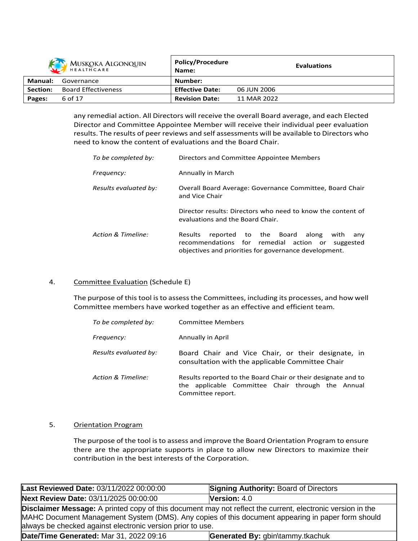|          | <b>MUSKOKA ALGONQUIN</b><br>HEALTHCARE | <b>Policy/Procedure</b><br>Name: |             | <b>Evaluations</b> |
|----------|----------------------------------------|----------------------------------|-------------|--------------------|
| Manual:  | Governance                             | Number:                          |             |                    |
| Section: | <b>Board Effectiveness</b>             | <b>Effective Date:</b>           | 06 JUN 2006 |                    |
| Pages:   | 6 of 17                                | <b>Revision Date:</b>            | 11 MAR 2022 |                    |

any remedial action. All Directors will receive the overall Board average, and each Elected Director and Committee Appointee Member will receive their individual peer evaluation results. The results of peer reviews and self assessments will be available to Directors who need to know the content of evaluations and the Board Chair.

| To be completed by:   | Directors and Committee Appointee Members                                                                                                                                    |  |  |  |
|-----------------------|------------------------------------------------------------------------------------------------------------------------------------------------------------------------------|--|--|--|
| Frequency:            | Annually in March                                                                                                                                                            |  |  |  |
| Results evaluated by: | Overall Board Average: Governance Committee, Board Chair<br>and Vice Chair                                                                                                   |  |  |  |
|                       | Director results: Directors who need to know the content of<br>evaluations and the Board Chair.                                                                              |  |  |  |
| Action & Timeline:    | reported to the Board along<br><b>Results</b><br>with<br>any<br>recommendations for remedial action or<br>suggested<br>objectives and priorities for governance development. |  |  |  |

# 4. Committee Evaluation (Schedule E)

The purpose of this tool is to assess the Committees, including its processes, and how well Committee members have worked together as an effective and efficient team.

| To be completed by:   | <b>Committee Members</b>                                                                                                                |  |  |
|-----------------------|-----------------------------------------------------------------------------------------------------------------------------------------|--|--|
| Frequency:            | Annually in April                                                                                                                       |  |  |
| Results evaluated by: | Board Chair and Vice Chair, or their designate, in<br>consultation with the applicable Committee Chair                                  |  |  |
| Action & Timeline:    | Results reported to the Board Chair or their designate and to<br>the applicable Committee Chair through the Annual<br>Committee report. |  |  |

# 5. Orientation Program

The purpose of the tool is to assess and improve the Board Orientation Program to ensure there are the appropriate supports in place to allow new Directors to maximize their contribution in the best interests of the Corporation.

| Last Reviewed Date: 03/11/2022 00:00:00                                                                                                                                                                                                                                              | <b>Signing Authority: Board of Directors</b> |  |  |
|--------------------------------------------------------------------------------------------------------------------------------------------------------------------------------------------------------------------------------------------------------------------------------------|----------------------------------------------|--|--|
| Next Review Date: 03/11/2025 00:00:00                                                                                                                                                                                                                                                | <b>Version:</b> $4.0$                        |  |  |
| <b>Disclaimer Message:</b> A printed copy of this document may not reflect the current, electronic version in the<br>MAHC Document Management System (DMS). Any copies of this document appearing in paper form should<br>always be checked against electronic version prior to use. |                                              |  |  |
| Date/Time Generated: Mar 31, 2022 09:16                                                                                                                                                                                                                                              | Generated By: gbin\tammy.tkachuk             |  |  |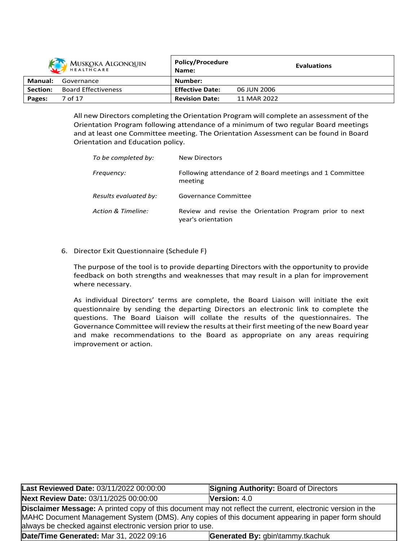|          | MUSKOKA ALGONQUIN          | <b>Policy/Procedure</b><br>Name: | <b>Evaluations</b> |
|----------|----------------------------|----------------------------------|--------------------|
| Manual:  | Governance                 | Number:                          |                    |
| Section: | <b>Board Effectiveness</b> | <b>Effective Date:</b>           | 06 JUN 2006        |
| Pages:   | 7 of 17                    | <b>Revision Date:</b>            | 11 MAR 2022        |

All new Directors completing the Orientation Program will complete an assessment of the Orientation Program following attendance of a minimum of two regular Board meetings and at least one Committee meeting. The Orientation Assessment can be found in Board Orientation and Education policy.

| To be completed by:   | New Directors                                                                 |
|-----------------------|-------------------------------------------------------------------------------|
| Frequency:            | Following attendance of 2 Board meetings and 1 Committee<br>meeting           |
| Results evaluated by: | Governance Committee                                                          |
| Action & Timeline:    | Review and revise the Orientation Program prior to next<br>year's orientation |

6. Director Exit Questionnaire (Schedule F)

The purpose of the tool is to provide departing Directors with the opportunity to provide feedback on both strengths and weaknesses that may result in a plan for improvement where necessary.

As individual Directors' terms are complete, the Board Liaison will initiate the exit questionnaire by sending the departing Directors an electronic link to complete the questions. The Board Liaison will collate the results of the questionnaires. The Governance Committee will review the results at their first meeting of the new Board year and make recommendations to the Board as appropriate on any areas requiring improvement or action.

| Last Reviewed Date: 03/11/2022 00:00:00                                                                                                                                                                                                                                              | <b>Signing Authority: Board of Directors</b> |  |
|--------------------------------------------------------------------------------------------------------------------------------------------------------------------------------------------------------------------------------------------------------------------------------------|----------------------------------------------|--|
| Next Review Date: 03/11/2025 00:00:00                                                                                                                                                                                                                                                | Version: 4.0                                 |  |
| <b>Disclaimer Message:</b> A printed copy of this document may not reflect the current, electronic version in the<br>MAHC Document Management System (DMS). Any copies of this document appearing in paper form should<br>always be checked against electronic version prior to use. |                                              |  |
| Date/Time Generated: Mar 31, 2022 09:16                                                                                                                                                                                                                                              | Generated By: gbin\tammy.tkachuk             |  |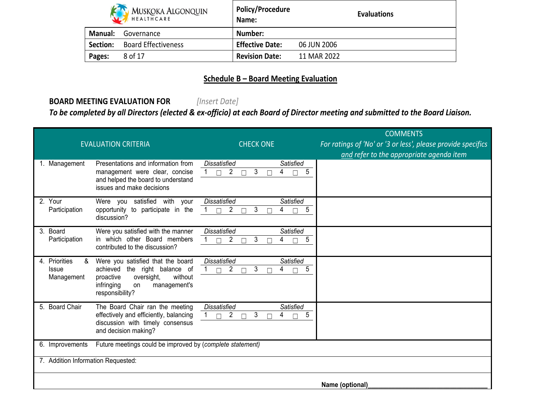|          | <b>MUSKOKA ALGONQUIN</b><br>HEALTHCARE | <b>Policy/Procedure</b><br>Name: | <b>Evaluations</b> |
|----------|----------------------------------------|----------------------------------|--------------------|
| Manual:  | Governance                             | Number:                          |                    |
| Section: | <b>Board Effectiveness</b>             | <b>Effective Date:</b>           | 06 JUN 2006        |
| Pages:   | 8 of 17                                | <b>Revision Date:</b>            | 11 MAR 2022        |

# **Schedule B – Board Meeting Evaluation**

# **BOARD MEETING EVALUATION FOR** *[Insert Date]*

To be completed by all Directors (elected & ex-officio) at each Board of Director meeting and submitted to the Board Liaison.

| <b>EVALUATION CRITERIA</b>                                                                                                                                                                                          | <b>CHECK ONE</b>                                                                             | <b>COMMENTS</b><br>For ratings of 'No' or '3 or less', please provide specifics<br>and refer to the appropriate agenda item |
|---------------------------------------------------------------------------------------------------------------------------------------------------------------------------------------------------------------------|----------------------------------------------------------------------------------------------|-----------------------------------------------------------------------------------------------------------------------------|
| Presentations and information from<br>Management<br>management were clear, concise<br>and helped the board to understand<br>issues and make decisions                                                               | <b>Dissatisfied</b><br>Satisfied<br>3<br>$\overline{2}$<br>5<br>4<br>$\Box$<br>$\Box$        |                                                                                                                             |
| 2. Your<br>Were you satisfied with your<br>opportunity to participate in the<br>Participation<br>discussion?                                                                                                        | <b>Dissatisfied</b><br><b>Satisfied</b><br>3<br>2<br>5<br>4<br>$\Box$                        |                                                                                                                             |
| Were you satisfied with the manner<br>3. Board<br>in which other Board members<br>Participation<br>contributed to the discussion?                                                                                   | <b>Dissatisfied</b><br>Satisfied<br>3<br>5<br>2<br>4<br>П<br>П                               |                                                                                                                             |
| Were you satisfied that the board<br>4. Priorities<br>&<br>achieved the right balance of<br><b>Issue</b><br>without<br>proactive<br>oversight,<br>Management<br>infringing<br>management's<br>on<br>responsibility? | <b>Dissatisfied</b><br>Satisfied<br>3<br>5<br>$\overline{2}$<br>4<br>$\Box$<br>$\Box$        |                                                                                                                             |
| 5. Board Chair<br>The Board Chair ran the meeting<br>effectively and efficiently, balancing<br>discussion with timely consensus<br>and decision making?                                                             | <b>Dissatisfied</b><br><b>Satisfied</b><br>3<br>$\overline{2}$<br>5<br>4<br>$\Box$<br>$\Box$ |                                                                                                                             |
| Future meetings could be improved by (complete statement)<br>6. Improvements                                                                                                                                        |                                                                                              |                                                                                                                             |
| 7. Addition Information Requested:                                                                                                                                                                                  |                                                                                              |                                                                                                                             |
|                                                                                                                                                                                                                     |                                                                                              | Name (optional)                                                                                                             |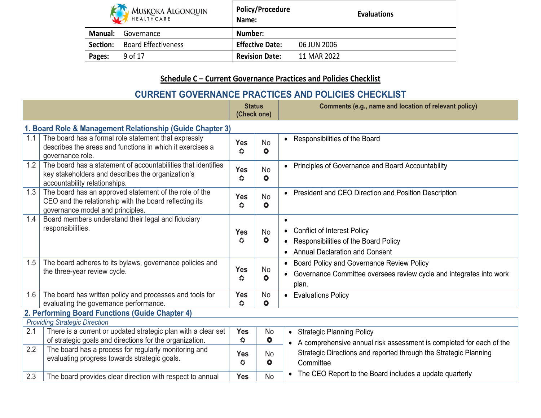|                | <b>MUSKOKA ALGONQUIN</b><br>HEALTHCARE | <b>Policy/Procedure</b><br>Name: | <b>Evaluations</b> |
|----------------|----------------------------------------|----------------------------------|--------------------|
| <b>Manual:</b> | Governance                             | Number:                          |                    |
| Section:       | <b>Board Effectiveness</b>             | <b>Effective Date:</b>           | 06 JUN 2006        |
| Pages:         | 9 of 17                                | <b>Revision Date:</b>            | 11 MAR 2022        |

# **Schedule C – Current Governance Practices and Policies Checklist**

# **CURRENT GOVERNANCE PRACTICES AND POLICIES CHECKLIST**

|     |                                                                                                                                                      |                       | <b>Status</b><br>(Check one) | Comments (e.g., name and location of relevant policy)                                                                                  |
|-----|------------------------------------------------------------------------------------------------------------------------------------------------------|-----------------------|------------------------------|----------------------------------------------------------------------------------------------------------------------------------------|
|     | 1. Board Role & Management Relationship (Guide Chapter 3)                                                                                            |                       |                              |                                                                                                                                        |
| 1.1 | The board has a formal role statement that expressly<br>describes the areas and functions in which it exercises a<br>governance role.                | <b>Yes</b><br>٥       | <b>No</b><br>$\bullet$       | Responsibilities of the Board<br>$\bullet$                                                                                             |
| 1.2 | The board has a statement of accountabilities that identifies<br>key stakeholders and describes the organization's<br>accountability relationships.  | <b>Yes</b><br>Ö       | <b>No</b><br>$\bullet$       | • Principles of Governance and Board Accountability                                                                                    |
| 1.3 | The board has an approved statement of the role of the<br>CEO and the relationship with the board reflecting its<br>governance model and principles. | <b>Yes</b><br>Ö       | <b>No</b><br>$\bullet$       | • President and CEO Direction and Position Description                                                                                 |
| 1.4 | Board members understand their legal and fiduciary<br>responsibilities.                                                                              | <b>Yes</b><br>Ö       | <b>No</b><br>$\bullet$       | $\bullet$<br><b>Conflict of Interest Policy</b><br>Responsibilities of the Board Policy<br>• Annual Declaration and Consent            |
| 1.5 | The board adheres to its bylaws, governance policies and<br>the three-year review cycle.                                                             | <b>Yes</b><br>♦       | <b>No</b><br>$\bullet$       | Board Policy and Governance Review Policy<br>$\bullet$<br>Governance Committee oversees review cycle and integrates into work<br>plan. |
| 1.6 | The board has written policy and processes and tools for<br>evaluating the governance performance.                                                   | <b>Yes</b><br>٥       | <b>No</b><br>$\bullet$       | • Evaluations Policy                                                                                                                   |
|     | 2. Performing Board Functions (Guide Chapter 4)                                                                                                      |                       |                              |                                                                                                                                        |
|     | <b>Providing Strategic Direction</b>                                                                                                                 |                       |                              |                                                                                                                                        |
| 2.1 | There is a current or updated strategic plan with a clear set<br>of strategic goals and directions for the organization.                             | <b>Yes</b><br>♦       | <b>No</b><br>$\bullet$       | • Strategic Planning Policy<br>• A comprehensive annual risk assessment is completed for each of the                                   |
| 2.2 | The board has a process for regularly monitoring and<br>evaluating progress towards strategic goals.                                                 | <b>Yes</b><br>$\circ$ | <b>No</b><br>$\bullet$       | Strategic Directions and reported through the Strategic Planning<br>Committee                                                          |
| 2.3 | The board provides clear direction with respect to annual                                                                                            | <b>Yes</b>            | <b>No</b>                    | The CEO Report to the Board includes a update quarterly                                                                                |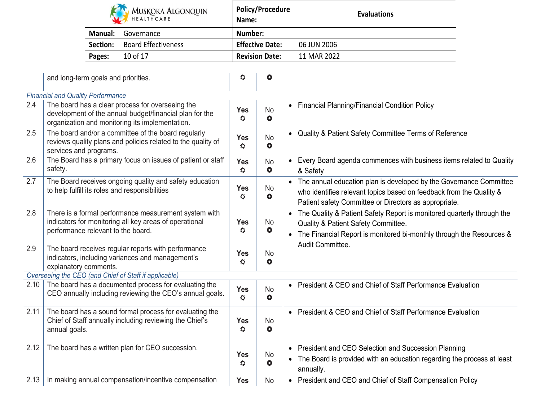|                | MUSKOKA ALGONQUIN<br>HEALTHCARE | <b>Policy/Procedure</b><br>Name: | <b>Evaluations</b> |
|----------------|---------------------------------|----------------------------------|--------------------|
| <b>Manual:</b> | Governance                      | Number:                          |                    |
| Section:       | <b>Board Effectiveness</b>      | <b>Effective Date:</b>           | 06 JUN 2006        |
| Pages:         | 10 of 17                        | <b>Revision Date:</b>            | 11 MAR 2022        |

|      | and long-term goals and priorities.                                                                                                                            | ♦                                 | $\bullet$              |                                                                                                                                                                                                                                     |
|------|----------------------------------------------------------------------------------------------------------------------------------------------------------------|-----------------------------------|------------------------|-------------------------------------------------------------------------------------------------------------------------------------------------------------------------------------------------------------------------------------|
|      |                                                                                                                                                                |                                   |                        |                                                                                                                                                                                                                                     |
|      | <b>Financial and Quality Performance</b>                                                                                                                       |                                   |                        |                                                                                                                                                                                                                                     |
| 2.4  | The board has a clear process for overseeing the<br>development of the annual budget/financial plan for the<br>organization and monitoring its implementation. | <b>Yes</b><br>$\ddot{\sigma}$     | <b>No</b><br>$\bullet$ | • Financial Planning/Financial Condition Policy                                                                                                                                                                                     |
| 2.5  | The board and/or a committee of the board regularly<br>reviews quality plans and policies related to the quality of<br>services and programs.                  | <b>Yes</b><br>$\ddot{\mathbf{O}}$ | <b>No</b><br>$\bullet$ | • Quality & Patient Safety Committee Terms of Reference                                                                                                                                                                             |
| 2.6  | The Board has a primary focus on issues of patient or staff<br>safety.                                                                                         | <b>Yes</b><br>♦                   | <b>No</b><br>$\bullet$ | • Every Board agenda commences with business items related to Quality<br>& Safety                                                                                                                                                   |
| 2.7  | The Board receives ongoing quality and safety education<br>to help fulfill its roles and responsibilities                                                      | <b>Yes</b><br>♦                   | <b>No</b><br>$\bullet$ | • The annual education plan is developed by the Governance Committee<br>who identifies relevant topics based on feedback from the Quality &<br>Patient safety Committee or Directors as appropriate.                                |
| 2.8  | There is a formal performance measurement system with<br>indicators for monitoring all key areas of operational<br>performance relevant to the board.          | <b>Yes</b><br>$\ddot{\mathbf{C}}$ | <b>No</b><br>$\bullet$ | The Quality & Patient Safety Report is monitored quarterly through the<br>$\bullet$<br>Quality & Patient Safety Committee.<br>The Financial Report is monitored bi-monthly through the Resources &<br>$\bullet$<br>Audit Committee. |
| 2.9  | The board receives regular reports with performance<br>indicators, including variances and management's<br>explanatory comments.                               | <b>Yes</b><br>♦                   | <b>No</b><br>$\bullet$ |                                                                                                                                                                                                                                     |
|      | Overseeing the CEO (and Chief of Staff if applicable)                                                                                                          |                                   |                        |                                                                                                                                                                                                                                     |
| 2.10 | The board has a documented process for evaluating the<br>CEO annually including reviewing the CEO's annual goals.                                              | <b>Yes</b><br>$\ddot{\circ}$      | <b>No</b><br>$\bullet$ | • President & CEO and Chief of Staff Performance Evaluation                                                                                                                                                                         |
| 2.11 | The board has a sound formal process for evaluating the<br>Chief of Staff annually including reviewing the Chief's<br>annual goals.                            | <b>Yes</b><br>$\ddot{\mathbf{O}}$ | <b>No</b><br>$\bullet$ | • President & CEO and Chief of Staff Performance Evaluation                                                                                                                                                                         |
| 2.12 | The board has a written plan for CEO succession.                                                                                                               | <b>Yes</b><br>♦                   | <b>No</b><br>$\bullet$ | • President and CEO Selection and Succession Planning<br>• The Board is provided with an education regarding the process at least<br>annually.                                                                                      |
| 2.13 | In making annual compensation/incentive compensation                                                                                                           | <b>Yes</b>                        | <b>No</b>              | • President and CEO and Chief of Staff Compensation Policy                                                                                                                                                                          |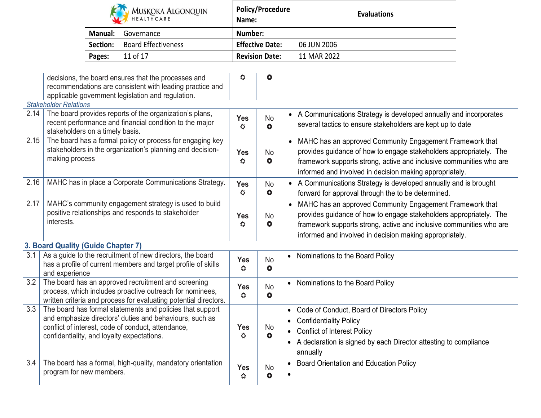|                | MUSKOKA ALGONQUIN          | <b>Policy/Procedure</b><br>Name: | <b>Evaluations</b> |
|----------------|----------------------------|----------------------------------|--------------------|
| <b>Manual:</b> | Governance                 | Number:                          |                    |
| Section:       | <b>Board Effectiveness</b> | <b>Effective Date:</b>           | 06 JUN 2006        |
| Pages:         | 11 of 17                   | <b>Revision Date:</b>            | 11 MAR 2022        |

|      | decisions, the board ensures that the processes and                                                             | ♦                    | $\bullet$              |                                                                               |
|------|-----------------------------------------------------------------------------------------------------------------|----------------------|------------------------|-------------------------------------------------------------------------------|
|      | recommendations are consistent with leading practice and                                                        |                      |                        |                                                                               |
|      | applicable government legislation and regulation.                                                               |                      |                        |                                                                               |
|      | <b>Stakeholder Relations</b>                                                                                    |                      |                        |                                                                               |
| 2.14 | The board provides reports of the organization's plans,                                                         |                      | No                     | • A Communications Strategy is developed annually and incorporates            |
|      | recent performance and financial condition to the major                                                         | <b>Yes</b><br>Ö.     | $\bullet$              | several tactics to ensure stakeholders are kept up to date                    |
|      | stakeholders on a timely basis.                                                                                 |                      |                        |                                                                               |
| 2.15 | The board has a formal policy or process for engaging key                                                       |                      |                        | • MAHC has an approved Community Engagement Framework that                    |
|      | stakeholders in the organization's planning and decision-                                                       | <b>Yes</b>           | <b>No</b>              | provides guidance of how to engage stakeholders appropriately. The            |
|      | making process                                                                                                  | ♦                    | $\bullet$              | framework supports strong, active and inclusive communities who are           |
|      |                                                                                                                 |                      |                        | informed and involved in decision making appropriately.                       |
| 2.16 | MAHC has in place a Corporate Communications Strategy.                                                          | <b>Yes</b>           | <b>No</b>              | • A Communications Strategy is developed annually and is brought              |
|      |                                                                                                                 | Ö                    | $\bullet$              | forward for approval through the to be determined.                            |
| 2.17 | MAHC's community engagement strategy is used to build                                                           |                      |                        | MAHC has an approved Community Engagement Framework that                      |
|      | positive relationships and responds to stakeholder                                                              |                      |                        |                                                                               |
|      | interests.                                                                                                      | <b>Yes</b><br>Ö      | <b>No</b><br>$\bullet$ | provides guidance of how to engage stakeholders appropriately. The            |
|      |                                                                                                                 |                      |                        | framework supports strong, active and inclusive communities who are           |
|      |                                                                                                                 |                      |                        | informed and involved in decision making appropriately.                       |
|      | 3. Board Quality (Guide Chapter 7)                                                                              |                      |                        |                                                                               |
| 3.1  | As a guide to the recruitment of new directors, the board                                                       | <b>Yes</b>           | <b>No</b>              | Nominations to the Board Policy<br>$\bullet$                                  |
|      | has a profile of current members and target profile of skills                                                   | $\bullet$            | $\bullet$              |                                                                               |
|      | and experience                                                                                                  |                      |                        |                                                                               |
| 3.2  | The board has an approved recruitment and screening<br>process, which includes proactive outreach for nominees, | <b>Yes</b>           | <b>No</b>              | Nominations to the Board Policy<br>$\bullet$                                  |
|      | written criteria and process for evaluating potential directors.                                                | $\bullet$            | $\bullet$              |                                                                               |
| 3.3  | The board has formal statements and policies that support                                                       |                      |                        | Code of Conduct, Board of Directors Policy<br>$\bullet$                       |
|      | and emphasize directors' duties and behaviours, such as                                                         |                      |                        |                                                                               |
|      | conflict of interest, code of conduct, attendance,                                                              | <b>Yes</b>           | <b>No</b>              | <b>Confidentiality Policy</b>                                                 |
|      | confidentiality, and loyalty expectations.                                                                      | Ö                    | $\bullet$              | <b>Conflict of Interest Policy</b>                                            |
|      |                                                                                                                 |                      |                        | A declaration is signed by each Director attesting to compliance<br>$\bullet$ |
|      |                                                                                                                 |                      |                        | annually                                                                      |
| 3.4  | The board has a formal, high-quality, mandatory orientation                                                     | Yes                  | No                     | Board Orientation and Education Policy                                        |
|      | program for new members.                                                                                        | $\breve{\mathbf{Q}}$ | $\bullet$              |                                                                               |
|      |                                                                                                                 |                      |                        |                                                                               |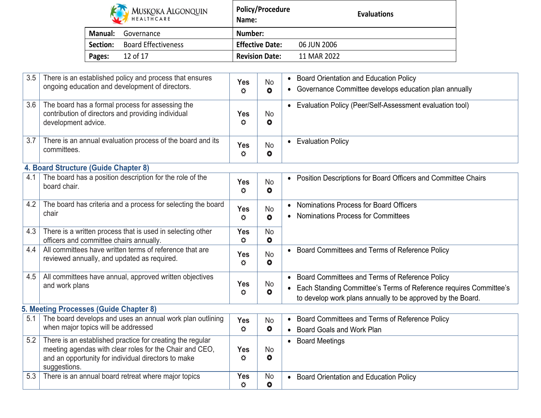|          | <b>MUSKOKA ALGONQUIN</b><br>HEALTHCARE | <b>Policy/Procedure</b><br>Name: | <b>Evaluations</b> |
|----------|----------------------------------------|----------------------------------|--------------------|
| Manual:  | Governance                             | Number:                          |                    |
| Section: | <b>Board Effectiveness</b>             | <b>Effective Date:</b>           | 06 JUN 2006        |
| Pages:   | 12 of 17                               | <b>Revision Date:</b>            | 11 MAR 2022        |

| 3.5 | There is an established policy and process that ensures<br>ongoing education and development of directors.                                                                                  | <b>Yes</b><br>$\ddot{\mathbf{Q}}$  | <b>No</b><br>$\bullet$      | <b>Board Orientation and Education Policy</b><br>$\bullet$<br>Governance Committee develops education plan annually<br>$\bullet$ |
|-----|---------------------------------------------------------------------------------------------------------------------------------------------------------------------------------------------|------------------------------------|-----------------------------|----------------------------------------------------------------------------------------------------------------------------------|
| 3.6 | The board has a formal process for assessing the<br>contribution of directors and providing individual<br>development advice.                                                               | <b>Yes</b><br>$\bullet$            | <b>No</b><br>$\bullet$      | • Evaluation Policy (Peer/Self-Assessment evaluation tool)                                                                       |
| 3.7 | There is an annual evaluation process of the board and its<br>committees.                                                                                                                   | <b>Yes</b><br>$\bullet$            | <b>No</b><br>$\bullet$      | <b>Evaluation Policy</b><br>$\bullet$                                                                                            |
|     | 4. Board Structure (Guide Chapter 8)                                                                                                                                                        |                                    |                             |                                                                                                                                  |
| 4.1 | The board has a position description for the role of the<br>board chair.                                                                                                                    | <b>Yes</b><br>$\bullet$            | <b>No</b><br>$\bullet$      | Position Descriptions for Board Officers and Committee Chairs<br>$\bullet$                                                       |
| 4.2 | The board has criteria and a process for selecting the board<br>chair                                                                                                                       | <b>Yes</b><br>$\breve{\mathbf{Q}}$ | <b>No</b><br>$\bullet$      | Nominations Process for Board Officers<br><b>Nominations Process for Committees</b><br>$\bullet$                                 |
| 4.3 | There is a written process that is used in selecting other<br>officers and committee chairs annually.                                                                                       | <b>Yes</b><br>$\bullet$            | <b>No</b><br>$\bullet$      |                                                                                                                                  |
| 4.4 | All committees have written terms of reference that are<br>reviewed annually, and updated as required.                                                                                      | <b>Yes</b><br>$\ddot{\mathbf{C}}$  | <b>No</b><br>$\bullet$      | Board Committees and Terms of Reference Policy                                                                                   |
| 4.5 | All committees have annual, approved written objectives                                                                                                                                     |                                    |                             | • Board Committees and Terms of Reference Policy                                                                                 |
|     | and work plans                                                                                                                                                                              | <b>Yes</b><br>♦                    | No<br>$\bullet$             | Each Standing Committee's Terms of Reference requires Committee's                                                                |
|     |                                                                                                                                                                                             |                                    |                             | to develop work plans annually to be approved by the Board.                                                                      |
|     | 5. Meeting Processes (Guide Chapter 8)                                                                                                                                                      |                                    |                             |                                                                                                                                  |
| 5.1 | The board develops and uses an annual work plan outlining                                                                                                                                   | <b>Yes</b>                         | <b>No</b>                   | Board Committees and Terms of Reference Policy<br>$\bullet$                                                                      |
|     | when major topics will be addressed                                                                                                                                                         | $\bullet$                          | $\bullet$                   | Board Goals and Work Plan<br>$\bullet$                                                                                           |
| 5.2 | There is an established practice for creating the regular<br>meeting agendas with clear roles for the Chair and CEO,<br>and an opportunity for individual directors to make<br>suggestions. | Yes<br>♦                           | N <sub>o</sub><br>$\bullet$ | <b>Board Meetings</b><br>$\bullet$                                                                                               |
| 5.3 | There is an annual board retreat where major topics                                                                                                                                         | <b>Yes</b><br>♦                    | <b>No</b><br>$\bullet$      | <b>Board Orientation and Education Policy</b><br>$\bullet$                                                                       |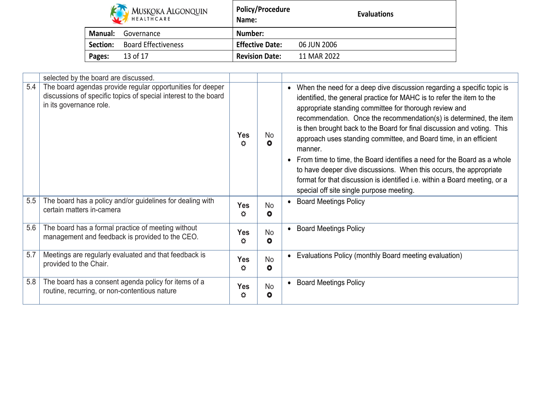|                | <b>MUSKOKA ALGONQUIN</b>   | <b>Policy/Procedure</b><br>Name: | <b>Evaluations</b> |
|----------------|----------------------------|----------------------------------|--------------------|
| <b>Manual:</b> | Governance                 | Number:                          |                    |
| Section:       | <b>Board Effectiveness</b> | <b>Effective Date:</b>           | 06 JUN 2006        |
| Pages:         | 13 of 17                   | <b>Revision Date:</b>            | 11 MAR 2022        |

|     | selected by the board are discussed.                                                                                                                     |                            |                        |                                                                                                                                                                                                                                                                                                                                                                                                                                                                                                                                                                                                                                                                                                                                                 |
|-----|----------------------------------------------------------------------------------------------------------------------------------------------------------|----------------------------|------------------------|-------------------------------------------------------------------------------------------------------------------------------------------------------------------------------------------------------------------------------------------------------------------------------------------------------------------------------------------------------------------------------------------------------------------------------------------------------------------------------------------------------------------------------------------------------------------------------------------------------------------------------------------------------------------------------------------------------------------------------------------------|
| 5.4 | The board agendas provide regular opportunities for deeper<br>discussions of specific topics of special interest to the board<br>in its governance role. | <b>Yes</b><br>No<br>☆<br>O |                        | When the need for a deep dive discussion regarding a specific topic is<br>$\bullet$<br>identified, the general practice for MAHC is to refer the item to the<br>appropriate standing committee for thorough review and<br>recommendation. Once the recommendation(s) is determined, the item<br>is then brought back to the Board for final discussion and voting. This<br>approach uses standing committee, and Board time, in an efficient<br>manner.<br>From time to time, the Board identifies a need for the Board as a whole<br>$\bullet$<br>to have deeper dive discussions. When this occurs, the appropriate<br>format for that discussion is identified i.e. within a Board meeting, or a<br>special off site single purpose meeting. |
| 5.5 | The board has a policy and/or guidelines for dealing with<br>certain matters in-camera                                                                   | <b>Yes</b><br>٥            | <b>No</b><br>$\bullet$ | <b>Board Meetings Policy</b>                                                                                                                                                                                                                                                                                                                                                                                                                                                                                                                                                                                                                                                                                                                    |
| 5.6 | The board has a formal practice of meeting without<br>management and feedback is provided to the CEO.                                                    | <b>Yes</b><br>☆            | <b>No</b><br>$\bullet$ | <b>Board Meetings Policy</b>                                                                                                                                                                                                                                                                                                                                                                                                                                                                                                                                                                                                                                                                                                                    |
| 5.7 | Meetings are regularly evaluated and that feedback is<br>provided to the Chair.                                                                          | Yes<br>♦                   | <b>No</b><br>$\bullet$ | Evaluations Policy (monthly Board meeting evaluation)                                                                                                                                                                                                                                                                                                                                                                                                                                                                                                                                                                                                                                                                                           |
| 5.8 | The board has a consent agenda policy for items of a<br>routine, recurring, or non-contentious nature                                                    | <b>Yes</b><br>Ö            | <b>No</b><br>$\bullet$ | <b>Board Meetings Policy</b><br>$\bullet$                                                                                                                                                                                                                                                                                                                                                                                                                                                                                                                                                                                                                                                                                                       |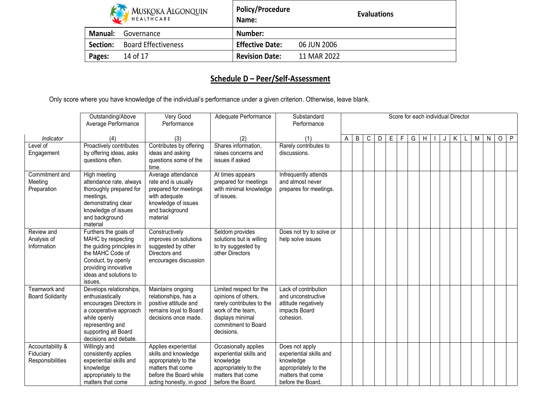|          | MUSKOKA ALGONQUIN          | <b>Policy/Procedure</b><br>Name: | <b>Evaluations</b> |
|----------|----------------------------|----------------------------------|--------------------|
| Manual:  | Governance                 | Number:                          |                    |
| Section: | <b>Board Effectiveness</b> | <b>Effective Date:</b>           | 06 JUN 2006        |
| Pages:   | 14 of 17                   | <b>Revision Date:</b>            | 11 MAR 2022        |

# **Schedule D – Peer/Self-Assessment**

Only score where you have knowledge of the individual's performance under a given criterion. Otherwise, leave blank.

|                                                   | Outstanding/Above<br>Average Performance                                                                                                                                              | Very Good<br>Performance                                                                                                                        | Adequate Performance                                                                                                                                      | Substandard<br>Performance                                                                                               |              |   |   |   |   |   | Score for each individual Director |   |  |   |   |   |         |              |
|---------------------------------------------------|---------------------------------------------------------------------------------------------------------------------------------------------------------------------------------------|-------------------------------------------------------------------------------------------------------------------------------------------------|-----------------------------------------------------------------------------------------------------------------------------------------------------------|--------------------------------------------------------------------------------------------------------------------------|--------------|---|---|---|---|---|------------------------------------|---|--|---|---|---|---------|--------------|
| Indicator                                         | (4)                                                                                                                                                                                   | (3)                                                                                                                                             | (2)                                                                                                                                                       | (1)                                                                                                                      | $\mathsf{A}$ | B | C | D | E | F | G                                  | H |  | K | М | N | $\circ$ | $\mathsf{P}$ |
| Level of<br>Engagement                            | Proactively contributes<br>by offering ideas, asks<br>questions often.                                                                                                                | Contributes by offering<br>ideas and asking<br>questions some of the<br>time.                                                                   | Shares information,<br>raises concerns and<br>issues if asked                                                                                             | Rarely contributes to<br>discussions.                                                                                    |              |   |   |   |   |   |                                    |   |  |   |   |   |         |              |
| Commitment and<br>Meeting<br>Preparation          | High meeting<br>attendance rate, always<br>thoroughly prepared for<br>meetings,<br>demonstrating clear<br>knowledge of issues<br>and background<br>material                           | Average attendance<br>rate and is usually<br>prepared for meetings<br>with adequate<br>knowledge of issues<br>and background<br>material        | At times appears<br>prepared for meetings<br>with minimal knowledge<br>of issues.                                                                         | Infrequently attends<br>and almost never<br>prepares for meetings.                                                       |              |   |   |   |   |   |                                    |   |  |   |   |   |         |              |
| Review and<br>Analysis of<br>Information          | Furthers the goals of<br>MAHC by respecting<br>the guiding principles in<br>the MAHC Code of<br>Conduct, by openly<br>providing innovative<br>ideas and solutions to<br>issues.       | Constructively<br>improves on solutions<br>suggested by other<br>Directors and<br>encourages discussion                                         | Seldom provides<br>solutions but is willing<br>to try suggested by<br>other Directors                                                                     | Does not try to solve or<br>help solve issues                                                                            |              |   |   |   |   |   |                                    |   |  |   |   |   |         |              |
| Teamwork and<br><b>Board Solidarity</b>           | Develops relationships,<br>enthusiastically<br>encourages Directors in<br>a cooperative approach<br>while openly<br>representing and<br>supporting all Board<br>decisions and debate. | Maintains ongoing<br>relationships, has a<br>positive attitude and<br>remains loyal to Board<br>decisions once made.                            | Limited respect for the<br>opinions of others,<br>rarely contributes to the<br>work of the team,<br>displays minimal<br>commitment to Board<br>decisions. | Lack of contribution<br>and unconstructive<br>attitude negatively<br>impacts Board<br>cohesion.                          |              |   |   |   |   |   |                                    |   |  |   |   |   |         |              |
| Accountability &<br>Fiduciary<br>Responsibilities | Willingly and<br>consistently applies<br>experiential skills and<br>knowledge<br>appropriately to the<br>matters that come                                                            | Applies experiential<br>skills and knowledge<br>appropriately to the<br>matters that come<br>before the Board while<br>acting honestly, in good | Occasionally applies<br>experiential skills and<br>knowledge<br>appropriately to the<br>matters that come<br>before the Board.                            | Does not apply<br>experiential skills and<br>knowledge<br>appropriately to the<br>matters that come<br>before the Board. |              |   |   |   |   |   |                                    |   |  |   |   |   |         |              |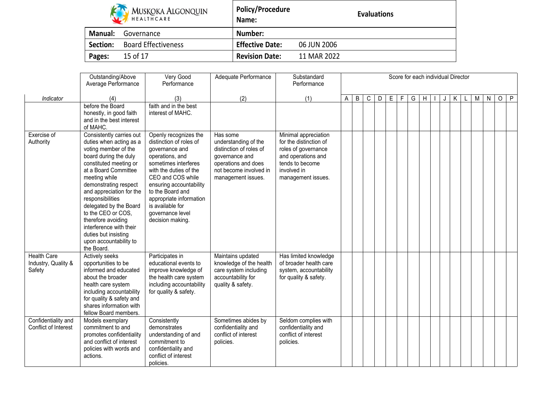| <b>KIN</b> MUSKOKA ALGONQUIN |
|------------------------------|
| <b>HEALTHCARE</b>            |

**Policy/Procedure Name:**

|                | <b>KAN</b> MUSKOKA ALGONQUIN<br>HEALTHCARE | <b>Policy/Procedure</b><br>Name: |             | <b>Evaluations</b> |  |  |  |  |  |
|----------------|--------------------------------------------|----------------------------------|-------------|--------------------|--|--|--|--|--|
| <b>Manual:</b> | Governance                                 | Number:                          |             |                    |  |  |  |  |  |
| Section:       | <b>Board Effectiveness</b>                 | <b>Effective Date:</b>           | 06 JUN 2006 |                    |  |  |  |  |  |
| Pages:         | 15 of 17                                   | <b>Revision Date:</b>            | 11 MAR 2022 |                    |  |  |  |  |  |

|                                                     | Outstanding/Above<br>Average Performance                                                                                                                                                                                                                                                                                                                                                                          | Very Good<br>Performance                                                                                                                                                                                                                                                                           | Adequate Performance                                                                                                                                 | Substandard<br>Performance                                                                                                                          |   | Score for each individual Director |   |   |   |   |   |   |  |   |   |   |         |              |
|-----------------------------------------------------|-------------------------------------------------------------------------------------------------------------------------------------------------------------------------------------------------------------------------------------------------------------------------------------------------------------------------------------------------------------------------------------------------------------------|----------------------------------------------------------------------------------------------------------------------------------------------------------------------------------------------------------------------------------------------------------------------------------------------------|------------------------------------------------------------------------------------------------------------------------------------------------------|-----------------------------------------------------------------------------------------------------------------------------------------------------|---|------------------------------------|---|---|---|---|---|---|--|---|---|---|---------|--------------|
| Indicator                                           | (4)                                                                                                                                                                                                                                                                                                                                                                                                               | (3)                                                                                                                                                                                                                                                                                                | (2)                                                                                                                                                  | (1)                                                                                                                                                 | A | B                                  | С | D | E | F | G | H |  | K | M | N | $\circ$ | $\mathsf{P}$ |
|                                                     | before the Board<br>honestly, in good faith<br>and in the best interest<br>of MAHC.                                                                                                                                                                                                                                                                                                                               | faith and in the best<br>interest of MAHC.                                                                                                                                                                                                                                                         |                                                                                                                                                      |                                                                                                                                                     |   |                                    |   |   |   |   |   |   |  |   |   |   |         |              |
| Exercise of<br>Authority                            | Consistently carries out<br>duties when acting as a<br>voting member of the<br>board during the duly<br>constituted meeting or<br>at a Board Committee<br>meeting while<br>demonstrating respect<br>and appreciation for the<br>responsibilities<br>delegated by the Board<br>to the CEO or COS,<br>therefore avoiding<br>interference with their<br>duties but insisting<br>upon accountability to<br>the Board. | Openly recognizes the<br>distinction of roles of<br>governance and<br>operations, and<br>sometimes interferes<br>with the duties of the<br>CEO and COS while<br>ensuring accountability<br>to the Board and<br>appropriate information<br>is available for<br>governance level<br>decision making. | Has some<br>understanding of the<br>distinction of roles of<br>governance and<br>operations and does<br>not become involved in<br>management issues. | Minimal appreciation<br>for the distinction of<br>roles of governance<br>and operations and<br>tends to become<br>involved in<br>management issues. |   |                                    |   |   |   |   |   |   |  |   |   |   |         |              |
| <b>Health Care</b><br>Industry, Quality &<br>Safety | Actively seeks<br>opportunities to be<br>informed and educated<br>about the broader<br>health care system<br>including accountability<br>for quality & safety and<br>shares information with<br>fellow Board members.                                                                                                                                                                                             | Participates in<br>educational events to<br>improve knowledge of<br>the health care system<br>including accountability<br>for quality & safety.                                                                                                                                                    | Maintains updated<br>knowledge of the health<br>care system including<br>accountability for<br>quality & safety.                                     | Has limited knowledge<br>of broader health care<br>system, accountability<br>for quality & safety.                                                  |   |                                    |   |   |   |   |   |   |  |   |   |   |         |              |
| Confidentiality and<br>Conflict of Interest         | Models exemplary<br>commitment to and<br>promotes confidentiality<br>and conflict of interest<br>policies with words and<br>actions.                                                                                                                                                                                                                                                                              | Consistently<br>demonstrates<br>understanding of and<br>commitment to<br>confidentiality and<br>conflict of interest<br>policies.                                                                                                                                                                  | Sometimes abides by<br>confidentiality and<br>conflict of interest<br>policies.                                                                      | Seldom complies with<br>confidentiality and<br>conflict of interest<br>policies.                                                                    |   |                                    |   |   |   |   |   |   |  |   |   |   |         |              |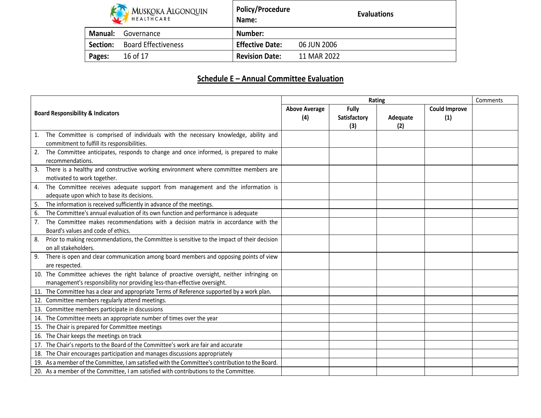|                | MUSKOKA ALGONQUIN<br>HEALTHCARE | <b>Policy/Procedure</b><br>Name: | <b>Evaluations</b> |
|----------------|---------------------------------|----------------------------------|--------------------|
| <b>Manual:</b> | Governance                      | Number:                          |                    |
| Section:       | <b>Board Effectiveness</b>      | <b>Effective Date:</b>           | 06 JUN 2006        |
| Pages:         | 16 of 17                        | <b>Revision Date:</b>            | 11 MAR 2022        |

ா

# **Schedule E – Annual Committee Evaluation**

|                                                                      |                                                                                                  |  | Comments                     |                 |                             |  |
|----------------------------------------------------------------------|--------------------------------------------------------------------------------------------------|--|------------------------------|-----------------|-----------------------------|--|
| <b>Above Average</b><br><b>Board Responsibility &amp; Indicators</b> |                                                                                                  |  | Fully<br>Satisfactory<br>(3) | Adequate<br>(2) | <b>Could Improve</b><br>(1) |  |
| 1.                                                                   | The Committee is comprised of individuals with the necessary knowledge, ability and              |  |                              |                 |                             |  |
|                                                                      | commitment to fulfill its responsibilities.                                                      |  |                              |                 |                             |  |
| 2.                                                                   | The Committee anticipates, responds to change and once informed, is prepared to make             |  |                              |                 |                             |  |
|                                                                      | recommendations.                                                                                 |  |                              |                 |                             |  |
| 3.                                                                   | There is a healthy and constructive working environment where committee members are              |  |                              |                 |                             |  |
|                                                                      | motivated to work together.                                                                      |  |                              |                 |                             |  |
| 4.                                                                   | The Committee receives adequate support from management and the information is                   |  |                              |                 |                             |  |
|                                                                      | adequate upon which to base its decisions.                                                       |  |                              |                 |                             |  |
| 5.                                                                   | The information is received sufficiently in advance of the meetings.                             |  |                              |                 |                             |  |
| 6.                                                                   | The Committee's annual evaluation of its own function and performance is adequate                |  |                              |                 |                             |  |
| 7.                                                                   | The Committee makes recommendations with a decision matrix in accordance with the                |  |                              |                 |                             |  |
|                                                                      | Board's values and code of ethics.                                                               |  |                              |                 |                             |  |
| 8.                                                                   | Prior to making recommendations, the Committee is sensitive to the impact of their decision      |  |                              |                 |                             |  |
|                                                                      | on all stakeholders.                                                                             |  |                              |                 |                             |  |
| 9.                                                                   | There is open and clear communication among board members and opposing points of view            |  |                              |                 |                             |  |
|                                                                      | are respected.                                                                                   |  |                              |                 |                             |  |
|                                                                      | 10. The Committee achieves the right balance of proactive oversight, neither infringing on       |  |                              |                 |                             |  |
|                                                                      | management's responsibility nor providing less-than-effective oversight.                         |  |                              |                 |                             |  |
|                                                                      | 11. The Committee has a clear and appropriate Terms of Reference supported by a work plan.       |  |                              |                 |                             |  |
|                                                                      | 12. Committee members regularly attend meetings.                                                 |  |                              |                 |                             |  |
|                                                                      | 13. Committee members participate in discussions                                                 |  |                              |                 |                             |  |
|                                                                      | 14. The Committee meets an appropriate number of times over the year                             |  |                              |                 |                             |  |
|                                                                      | 15. The Chair is prepared for Committee meetings                                                 |  |                              |                 |                             |  |
|                                                                      | 16. The Chair keeps the meetings on track                                                        |  |                              |                 |                             |  |
|                                                                      | 17. The Chair's reports to the Board of the Committee's work are fair and accurate               |  |                              |                 |                             |  |
|                                                                      | 18. The Chair encourages participation and manages discussions appropriately                     |  |                              |                 |                             |  |
|                                                                      | 19. As a member of the Committee, I am satisfied with the Committee's contribution to the Board. |  |                              |                 |                             |  |
|                                                                      | 20. As a member of the Committee, I am satisfied with contributions to the Committee.            |  |                              |                 |                             |  |